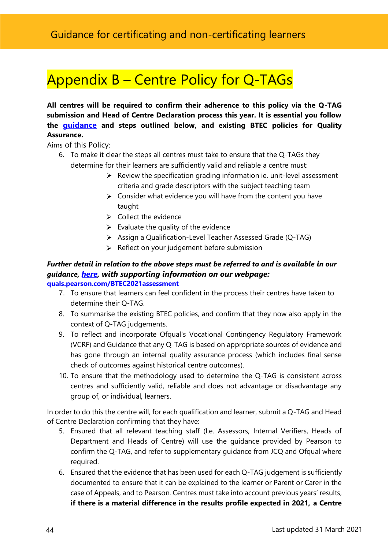## Appendix B – Centre Policy for Q-TAGs

**All centres will be required to confirm their adherence to this policy via the Q-TAG submission and Head of Centre Declaration process this year. It is essential you follow the [guidance](https://qualifications.pearson.com/content/dam/pdf/teaching-and-learning-hub/Awarding-results-2021/Awarding-results-2021-guidance.pdf) and steps outlined below, and existing BTEC policies for Quality Assurance.**

Aims of this Policy:

- 6. To make it clear the steps all centres must take to ensure that the Q-TAGs they determine for their learners are sufficiently valid and reliable a centre must:
	- $\triangleright$  Review the specification grading information ie. unit-level assessment criteria and grade descriptors with the subject teaching team
	- $\triangleright$  Consider what evidence you will have from the content you have taught
	- $\triangleright$  Collect the evidence
	- $\triangleright$  Evaluate the quality of the evidence
	- Assign a Qualification-Level Teacher Assessed Grade (Q-TAG)
	- $\triangleright$  Reflect on your judgement before submission

## *Further detail in relation to the above steps must be referred to and is available in our guidance, [here,](https://qualifications.pearson.com/content/dam/pdf/teaching-and-learning-hub/Awarding-results-2021/Awarding-results-2021-guidance.pdf) with supporting information on our webpage:*  **[quals.pearson.com/BTEC2021assessment](https://pearsoneducationinc-my.sharepoint.com/personal/judith_hale_pearson_com/Documents/COVID-19%20Support/2021%20Documents/2021%20Assessment/Q-TAG%20Guidance/quals.pearson.com/BTEC2021assessment)**

- 7. To ensure that learners can feel confident in the process their centres have taken to determine their Q-TAG.
- 8. To summarise the existing BTEC policies, and confirm that they now also apply in the context of Q-TAG judgements.
- 9. To reflect and incorporate Ofqual's Vocational Contingency Regulatory Framework (VCRF) and Guidance that any Q-TAG is based on appropriate sources of evidence and has gone through an internal quality assurance process (which includes final sense check of outcomes against historical centre outcomes).
- 10. To ensure that the methodology used to determine the Q-TAG is consistent across centres and sufficiently valid, reliable and does not advantage or disadvantage any group of, or individual, learners.

In order to do this the centre will, for each qualification and learner, submit a Q-TAG and Head of Centre Declaration confirming that they have:

- 5. Ensured that all relevant teaching staff (I.e. Assessors, Internal Verifiers, Heads of Department and Heads of Centre) will use the guidance provided by Pearson to confirm the Q-TAG, and refer to supplementary guidance from JCQ and Ofqual where required.
- 6. Ensured that the evidence that has been used for each Q-TAG judgement is sufficiently documented to ensure that it can be explained to the learner or Parent or Carer in the case of Appeals, and to Pearson. Centres must take into account previous years' results, **if there is a material difference in the results profile expected in 2021, a Centre**